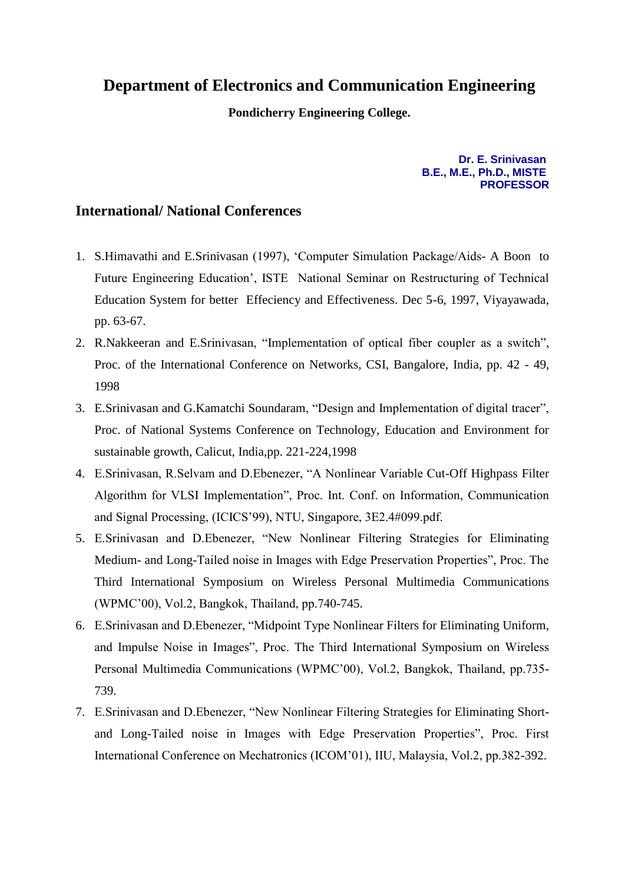## **Department of Electronics and Communication Engineering**

**Pondicherry Engineering College.**

**Dr. E. Srinivasan B.E., M.E., Ph.D., MISTE PROFESSOR**

## **International/ National Conferences**

- 1. S.Himavathi and E.Srinivasan (1997), 'Computer Simulation Package/Aids- A Boon to Future Engineering Education', ISTE National Seminar on Restructuring of Technical Education System for better Effeciency and Effectiveness. Dec 5-6, 1997, Viyayawada, pp. 63-67.
- 2. R.Nakkeeran and E.Srinivasan, "Implementation of optical fiber coupler as a switch", Proc. of the International Conference on Networks, CSI, Bangalore, India, pp. 42 - 49, 1998
- 3. E.Srinivasan and G.Kamatchi Soundaram, "Design and Implementation of digital tracer", Proc. of National Systems Conference on Technology, Education and Environment for sustainable growth, Calicut, India,pp. 221-224,1998
- 4. E.Srinivasan, R.Selvam and D.Ebenezer, "A Nonlinear Variable Cut-Off Highpass Filter Algorithm for VLSI Implementation", Proc. Int. Conf. on Information, Communication and Signal Processing, (ICICS'99), NTU, Singapore, 3E2.4#099.pdf.
- 5. E.Srinivasan and D.Ebenezer, "New Nonlinear Filtering Strategies for Eliminating Medium- and Long-Tailed noise in Images with Edge Preservation Properties", Proc. The Third International Symposium on Wireless Personal Multimedia Communications (WPMC'00), Vol.2, Bangkok, Thailand, pp.740-745.
- 6. E.Srinivasan and D.Ebenezer, "Midpoint Type Nonlinear Filters for Eliminating Uniform, and Impulse Noise in Images", Proc. The Third International Symposium on Wireless Personal Multimedia Communications (WPMC'00), Vol.2, Bangkok, Thailand, pp.735- 739.
- 7. E.Srinivasan and D.Ebenezer, "New Nonlinear Filtering Strategies for Eliminating Shortand Long-Tailed noise in Images with Edge Preservation Properties", Proc. First International Conference on Mechatronics (ICOM'01), IIU, Malaysia, Vol.2, pp.382-392.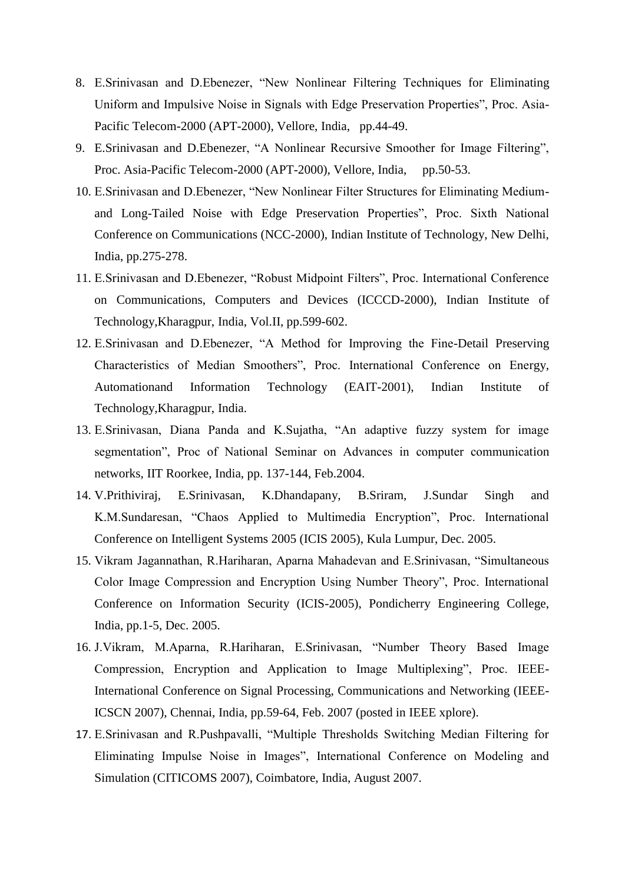- 8. E.Srinivasan and D.Ebenezer, "New Nonlinear Filtering Techniques for Eliminating Uniform and Impulsive Noise in Signals with Edge Preservation Properties", Proc. Asia-Pacific Telecom-2000 (APT-2000), Vellore, India, pp.44-49.
- 9. E.Srinivasan and D.Ebenezer, "A Nonlinear Recursive Smoother for Image Filtering", Proc. Asia-Pacific Telecom-2000 (APT-2000), Vellore, India, pp.50-53.
- 10. E.Srinivasan and D.Ebenezer, "New Nonlinear Filter Structures for Eliminating Mediumand Long-Tailed Noise with Edge Preservation Properties", Proc. Sixth National Conference on Communications (NCC-2000), Indian Institute of Technology, New Delhi, India, pp.275-278.
- 11. E.Srinivasan and D.Ebenezer, "Robust Midpoint Filters", Proc. International Conference on Communications, Computers and Devices (ICCCD-2000), Indian Institute of Technology,Kharagpur, India, Vol.II, pp.599-602.
- 12. E.Srinivasan and D.Ebenezer, "A Method for Improving the Fine-Detail Preserving Characteristics of Median Smoothers", Proc. International Conference on Energy, Automationand Information Technology (EAIT-2001), Indian Institute of Technology,Kharagpur, India.
- 13. E.Srinivasan, Diana Panda and K.Sujatha, "An adaptive fuzzy system for image segmentation", Proc of National Seminar on Advances in computer communication networks, IIT Roorkee, India, pp. 137-144, Feb.2004.
- 14. V.Prithiviraj, E.Srinivasan, K.Dhandapany, B.Sriram, J.Sundar Singh and K.M.Sundaresan, "Chaos Applied to Multimedia Encryption", Proc. International Conference on Intelligent Systems 2005 (ICIS 2005), Kula Lumpur, Dec. 2005.
- 15. Vikram Jagannathan, R.Hariharan, Aparna Mahadevan and E.Srinivasan, "Simultaneous Color Image Compression and Encryption Using Number Theory", Proc. International Conference on Information Security (ICIS-2005), Pondicherry Engineering College, India, pp.1-5, Dec. 2005.
- 16. J.Vikram, M.Aparna, R.Hariharan, E.Srinivasan, "Number Theory Based Image Compression, Encryption and Application to Image Multiplexing", Proc. IEEE-International Conference on Signal Processing, Communications and Networking (IEEE-ICSCN 2007), Chennai, India, pp.59-64, Feb. 2007 (posted in IEEE xplore).
- 17. E.Srinivasan and R.Pushpavalli, "Multiple Thresholds Switching Median Filtering for Eliminating Impulse Noise in Images", International Conference on Modeling and Simulation (CITICOMS 2007), Coimbatore, India, August 2007.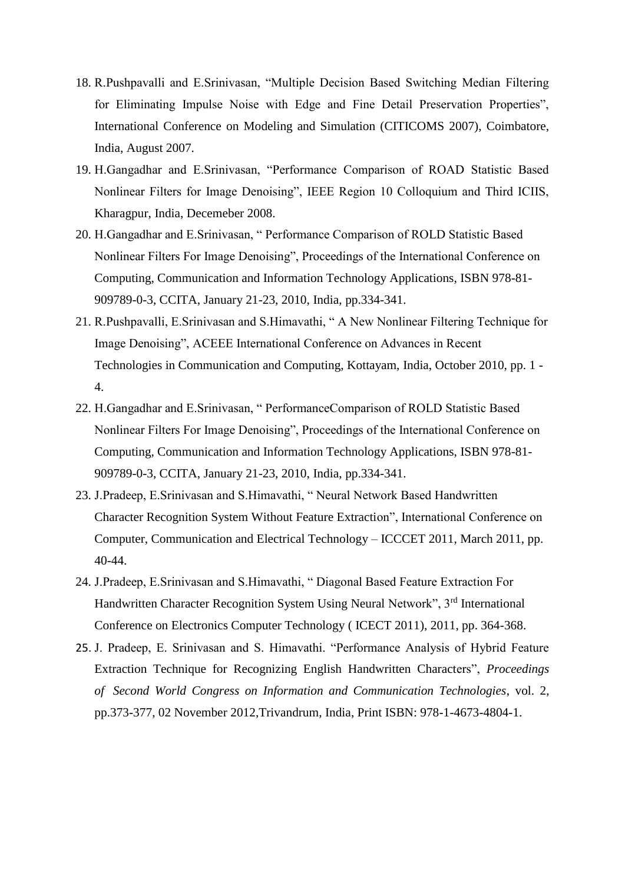- 18. R.Pushpavalli and E.Srinivasan, "Multiple Decision Based Switching Median Filtering for Eliminating Impulse Noise with Edge and Fine Detail Preservation Properties", International Conference on Modeling and Simulation (CITICOMS 2007), Coimbatore, India, August 2007.
- 19. H.Gangadhar and E.Srinivasan, "Performance Comparison of ROAD Statistic Based Nonlinear Filters for Image Denoising", IEEE Region 10 Colloquium and Third ICIIS, Kharagpur, India, Decemeber 2008.
- 20. H.Gangadhar and E.Srinivasan, " Performance Comparison of ROLD Statistic Based Nonlinear Filters For Image Denoising", Proceedings of the International Conference on Computing, Communication and Information Technology Applications, ISBN 978-81- 909789-0-3, CCITA, January 21-23, 2010, India, pp.334-341.
- 21. R.Pushpavalli, E.Srinivasan and S.Himavathi, " A New Nonlinear Filtering Technique for Image Denoising", ACEEE International Conference on Advances in Recent Technologies in Communication and Computing, Kottayam, India, October 2010, pp. 1 - 4.
- 22. H.Gangadhar and E.Srinivasan, " PerformanceComparison of ROLD Statistic Based Nonlinear Filters For Image Denoising", Proceedings of the International Conference on Computing, Communication and Information Technology Applications, ISBN 978-81- 909789-0-3, CCITA, January 21-23, 2010, India, pp.334-341.
- 23. J.Pradeep, E.Srinivasan and S.Himavathi, " Neural Network Based Handwritten Character Recognition System Without Feature Extraction", International Conference on Computer, Communication and Electrical Technology – ICCCET 2011, March 2011, pp. 40-44.
- 24. J.Pradeep, E.Srinivasan and S.Himavathi, " Diagonal Based Feature Extraction For Handwritten Character Recognition System Using Neural Network", 3rd International Conference on Electronics Computer Technology ( ICECT 2011), 2011, pp. 364-368.
- 25. J. Pradeep, E. Srinivasan and S. Himavathi. "Performance Analysis of Hybrid Feature Extraction Technique for Recognizing English Handwritten Characters", *Proceedings of Second World Congress on Information and Communication Technologies*, vol. 2, pp.373-377, 02 November 2012,Trivandrum, India, Print ISBN: 978-1-4673-4804-1.